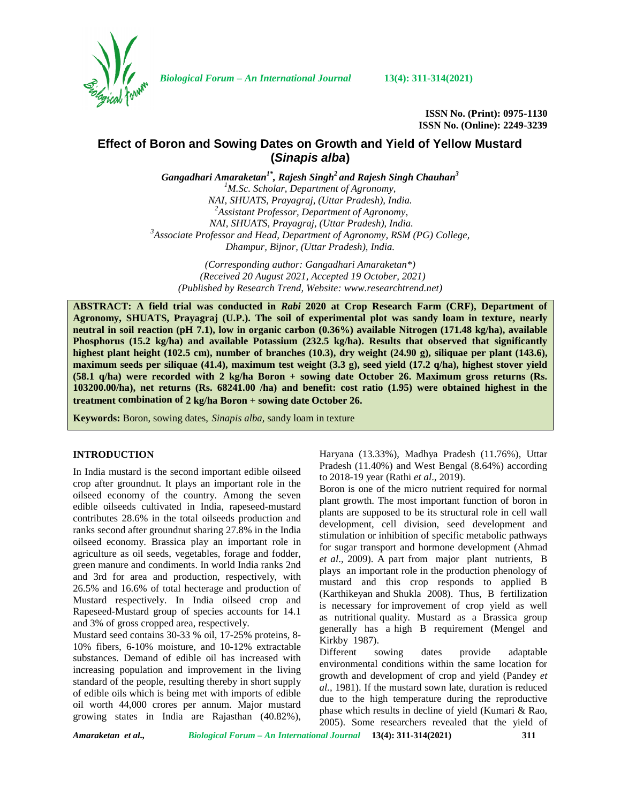

*Biological Forum – An International Journal* **13(4): 311-314(2021)**

**ISSN No. (Print): 0975-1130 ISSN No. (Online): 2249-3239**

# **Effect of Boron and Sowing Dates on Growth and Yield of Yellow Mustard (***Sinapis alba***)**

*Gangadhari Amaraketan1\*, Rajesh Singh<sup>2</sup> and Rajesh Singh Chauhan<sup>3</sup>*

<sup>1</sup>*M.Sc. Scholar, Department of Agronomy, NAI, SHUATS, Prayagraj, (Uttar Pradesh), India. NAI, SHUATS, Prayagraj, (Uttar Pradesh), India. <sup>2</sup>Assistant Professor, Department of Agronomy, NAI, SHUATS, Prayagraj, (Uttar Pradesh), India. <sup>3</sup>Associate Professor and Head, Department of Agronomy, RSM (PG) College, Dhampur, Bijnor, (Uttar Pradesh), India.*

*(Corresponding author: Gangadhari Amaraketan\*) (Received 20 August 2021, Accepted 19 October, 2021) (Published by Research Trend, Website: [www.researchtrend.net\)](www.researchtrend.net)*

**ABSTRACT: A field trial was conducted in** *Rabi* **2020 at Crop Research Farm (CRF), Department of Agronomy, SHUATS, Prayagraj (U.P.). The soil of experimental plot was sandy loam in texture, nearly neutral in soil reaction (pH 7.1), low in organic carbon (0.36%) available Nitrogen (171.48 kg/ha), available Phosphorus (15.2 kg/ha) and available Potassium (232.5 kg/ha). Results that observed that significantly highest plant height (102.5 cm), number of branches (10.3), dry weight (24.90 g), siliquae per plant (143.6), maximum seeds per siliquae (41.4), maximum test weight (3.3 g), seed yield (17.2 q/ha), highest stover yield (58.1 q/ha) were recorded with 2 kg/ha Boron + sowing date October 26. Maximum gross returns (Rs. 103200.00/ha), net returns (Rs. 68241.00 /ha) and benefit: cost ratio (1.95) were obtained highest in the treatment combination of 2 kg/ha Boron + sowing date October 26.**

**Keywords:** Boron, sowing dates, *Sinapis alba,* sandy loam in texture

### **INTRODUCTION**

In India mustard is the second important edible oilseed crop after groundnut. It plays an important role in the oilseed economy of the country. Among the seven edible oilseeds cultivated in India, rapeseed-mustard contributes 28.6% in the total oilseeds production and ranks second after groundnut sharing 27.8% in the India oilseed economy. Brassica play an important role in agriculture as oil seeds, vegetables, forage and fodder, green manure and condiments. In world India ranks 2nd and 3rd for area and production, respectively, with 26.5% and 16.6% of total hecterage and production of Mustard respectively. In India oilseed crop and Rapeseed-Mustard group of species accounts for 14.1 and 3% of gross cropped area, respectively.

Mustard seed contains 30-33 % oil, 17-25% proteins, 8- 10% fibers, 6-10% moisture, and 10-12% extractable<br>Different substances. Demand of edible oil has increased with increasing population and improvement in the living standard of the people, resulting thereby in short supply of edible oils which is being met with imports of edible oil worth 44,000 crores per annum. Major mustard growing states in India are Rajasthan (40.82%),

Haryana (13.33%), Madhya Pradesh (11.76%), Uttar Pradesh (11.40%) and West Bengal (8.64%) according to 2018-19 year (Rathi *et al*., 2019).

Boron is one of the micro nutrient required for normal plant growth. The most important function of boron in plants are supposed to be its structural role in cell wall development, cell division, seed development and stimulation or inhibition of specific metabolic pathways for sugar transport and hormone development (Ahmad *et al*., 2009). A part from major plant nutrients, B plays an important role in the production phenology of mustard and this crop responds to applied B (Karthikeyan and Shukla 2008). Thus, B fertilization is necessary for improvement of crop yield as well as nutritional quality. Mustard as a Brassica group generally has a high B requirement (Mengel and Kirkby 1987).

sowing dates provide adaptable environmental conditions within the same location for growth and development of crop and yield (Pandey *et al.,* 1981). If the mustard sown late, duration is reduced due to the high temperature during the reproductive phase which results in decline of yield (Kumari & Rao, 2005). Some researchers revealed that the yield of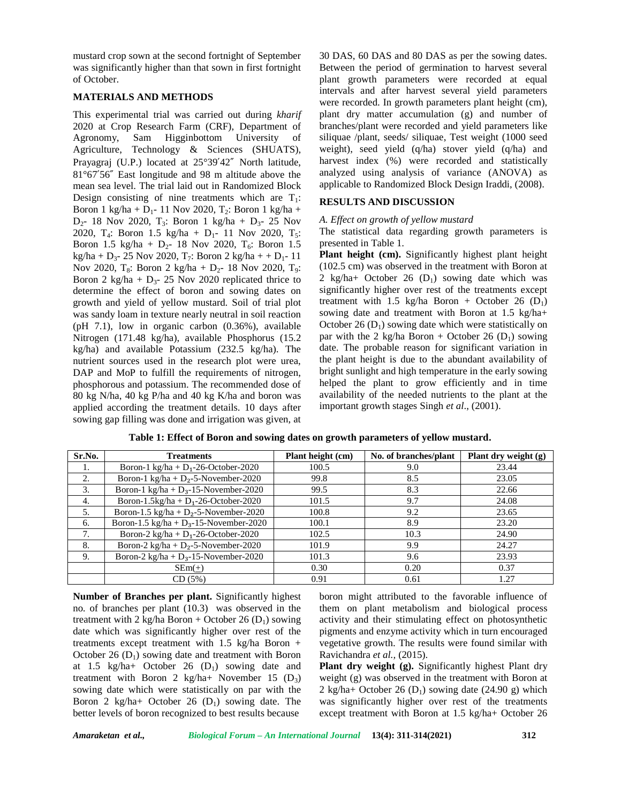mustard crop sown at the second fortnight of September was significantly higher than that sown in first fortnight of October.

### **MATERIALS AND METHODS**

This experimental trial was carried out during *kharif* 2020 at Crop Research Farm (CRF), Department of Agronomy, Sam Higginbottom University of Agriculture, Technology & Sciences (SHUATS), Prayagraj (U.P.) located at 25°39′42″ North latitude, 81°67′56″ East longitude and 98 m altitude above the mean sea level. The trial laid out in Randomized Block Design consisting of nine treatments which are  $T_1$ : Boron 1 kg/ha + D<sub>1</sub>- 11 Nov 2020, T<sub>2</sub>: Boron 1 kg/ha +  $D_2$ - 18 Nov 2020, T<sub>3</sub>: Boron 1 kg/ha +  $D_3$ - 25 Nov 2020, T<sub>4</sub>: Boron 1.5 kg/ha + D<sub>1</sub>- 11 Nov 2020, T<sub>5</sub>: Boron 1.5 kg/ha +  $D_2$ - 18 Nov 2020, T<sub>6</sub>: Boron 1.5 kg/ha + D<sub>3</sub>- 25 Nov 2020, T<sub>7</sub>: Boron 2 kg/ha + + D<sub>1</sub>- 11 Nov 2020, T<sub>8</sub>: Boron 2 kg/ha + D<sub>2</sub>- 18 Nov 2020, T<sub>9</sub>: Boron 2 kg/ha +  $D_3$ - 25 Nov 2020 replicated thrice to determine the effect of boron and sowing dates on growth and yield of yellow mustard. Soil of trial plot was sandy loam in texture nearly neutral in soil reaction (pH 7.1), low in organic carbon (0.36%), available Nitrogen (171.48 kg/ha), available Phosphorus (15.2 kg/ha) and available Potassium (232.5 kg/ha). The nutrient sources used in the research plot were urea, DAP and MoP to fulfill the requirements of nitrogen, phosphorous and potassium. The recommended dose of 80 kg N/ha, 40 kg P/ha and 40 kg K/ha and boron was applied according the treatment details. 10 days after sowing gap filling was done and irrigation was given, at

30 DAS, 60 DAS and 80 DAS as per the sowing dates. Between the period of germination to harvest several plant growth parameters were recorded at equal intervals and after harvest several yield parameters were recorded. In growth parameters plant height (cm), plant dry matter accumulation (g) and number of branches/plant were recorded and yield parameters like siliquae /plant, seeds/ siliquae, Test weight (1000 seed weight), seed yield (q/ha) stover yield (q/ha) and harvest index (%) were recorded and statistically analyzed using analysis of variance (ANOVA) as applicable to Randomized Block Design Iraddi, (2008).

## **RESULTS AND DISCUSSION**

### *A. Effect on growth of yellow mustard*

The statistical data regarding growth parameters is presented in Table 1.

**Plant height (cm).** Significantly highest plant height (102.5 cm) was observed in the treatment with Boron at 2 kg/ha+ October 26  $(D_1)$  sowing date which was significantly higher over rest of the treatments except treatment with 1.5 kg/ha Boron + October 26  $(D_1)$ sowing date and treatment with Boron at 1.5 kg/ha+ October 26  $(D_1)$  sowing date which were statistically on par with the 2 kg/ha Boron + October 26 ( $D_1$ ) sowing date. The probable reason for significant variation in the plant height is due to the abundant availability of bright sunlight and high temperature in the early sowing helped the plant to grow efficiently and in time availability of the needed nutrients to the plant at the important growth stages Singh *et al*., (2001).

| Sr.No. | <b>Treatments</b>                         | Plant height (cm) | No. of branches/plant | Plant dry weight (g) |
|--------|-------------------------------------------|-------------------|-----------------------|----------------------|
|        | Boron-1 kg/ha + $D_1$ -26-October-2020    | 100.5             | 9.0                   | 23.44                |
| 2.     | Boron-1 kg/ha + $D_2$ -5-November-2020    | 99.8              | 8.5                   | 23.05                |
| 3.     | Boron-1 kg/ha + $D_3$ -15-November-2020   | 99.5              | 8.3                   | 22.66                |
| 4.     | Boron-1.5kg/ha + $D_1$ -26-October-2020   | 101.5             | 9.7                   | 24.08                |
| 5.     | Boron-1.5 kg/ha + $D_2$ -5-November-2020  | 100.8             | 9.2                   | 23.65                |
| 6.     | Boron-1.5 kg/ha + $D_3$ -15-November-2020 | 100.1             | 8.9                   | 23.20                |
|        | Boron-2 kg/ha + $D_1$ -26-October-2020    | 102.5             | 10.3                  | 24.90                |
| 8.     | Boron-2 kg/ha + $D_2$ -5-November-2020    | 101.9             | 9.9                   | 24.27                |
| 9.     | Boron-2 kg/ha + $D_3$ -15-November-2020   | 101.3             | 9.6                   | 23.93                |
|        | $SEm(+)$                                  | 0.30              | 0.20                  | 0.37                 |
|        | CD(5%)                                    | 0.91              | 0.61                  | 1.27                 |

**Table 1: Effect of Boron and sowing dates on growth parameters of yellow mustard.**

**Number of Branches per plant.** Significantly highest no. of branches per plant (10.3) was observed in the treatment with 2 kg/ha Boron + October 26 ( $D_1$ ) sowing date which was significantly higher over rest of the treatments except treatment with 1.5 kg/ha Boron + October 26  $(D_1)$  sowing date and treatment with Boron at 1.5 kg/ha+ October 26  $(D_1)$  sowing date and treatment with Boron 2 kg/ha+ November 15  $(D_3)$ sowing date which were statistically on par with the Boron 2 kg/ha+ October 26  $(D_1)$  sowing date. The better levels of boron recognized to best results because

boron might attributed to the favorable influence of them on plant metabolism and biological process activity and their stimulating effect on photosynthetic pigments and enzyme activity which in turn encouraged vegetative growth. The results were found similar with Ravichandra *et al.,* (2015).

**Plant dry weight (g).** Significantly highest Plant dry weight (g) was observed in the treatment with Boron at 2 kg/ha+ October 26 ( $D_1$ ) sowing date (24.90 g) which was significantly higher over rest of the treatments except treatment with Boron at 1.5 kg/ha+ October 26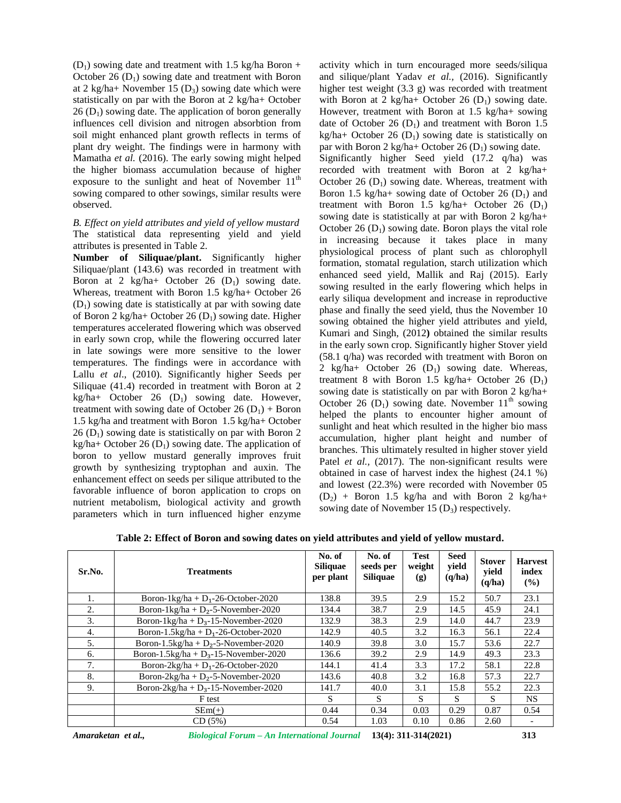$(D_1)$  sowing date and treatment with 1.5 kg/ha Boron + October 26  $(D_1)$  sowing date and treatment with Boron at 2 kg/ha+ November 15  $(D_3)$  sowing date which were statistically on par with the Boron at 2 kg/ha+ October  $26$  (D<sub>1</sub>) sowing date. The application of boron generally influences cell division and nitrogen absorbtion from soil might enhanced plant growth reflects in terms of plant dry weight. The findings were in harmony with Mamatha *et al.* (2016). The early sowing might helped the higher biomass accumulation because of higher exposure to the sunlight and heat of November  $11<sup>th</sup>$ sowing compared to other sowings, similar results were observed.

*B. Effect on yield attributes and yield of yellow mustard* The statistical data representing yield and yield attributes is presented in Table 2.

**Number of Siliquae/plant.** Significantly higher Siliquae/plant (143.6) was recorded in treatment with Boron at 2 kg/ha+ October 26  $(D_1)$  sowing date. Whereas, treatment with Boron 1.5 kg/ha+ October 26  $(D_1)$  sowing date is statistically at par with sowing date of Boron 2 kg/ha+ October 26  $(D_1)$  sowing date. Higher temperatures accelerated flowering which was observed in early sown crop, while the flowering occurred later in late sowings were more sensitive to the lower temperatures. The findings were in accordance with Lallu *et al*., (2010). Significantly higher Seeds per Siliquae (41.4) recorded in treatment with Boron at 2 kg/ha+ October 26  $(D_1)$  sowing date. However, treatment with sowing date of October 26  $(D_1)$  + Boron 1.5 kg/ha and treatment with Boron 1.5 kg/ha+ October  $26$  (D<sub>1</sub>) sowing date is statistically on par with Boron 2 kg/ha+ October 26 ( $D_1$ ) sowing date. The application of boron to yellow mustard generally improves fruit growth by synthesizing tryptophan and auxin. The enhancement effect on seeds per silique attributed to the favorable influence of boron application to crops on nutrient metabolism, biological activity and growth parameters which in turn influenced higher enzyme

activity which in turn encouraged more seeds/siliqua and silique/plant Yadav *et al.,* (2016). Significantly higher test weight (3.3 g) was recorded with treatment with Boron at 2 kg/ha+ October 26  $(D_1)$  sowing date. However, treatment with Boron at 1.5 kg/ha+ sowing date of October 26  $(D_1)$  and treatment with Boron 1.5 kg/ha+ October 26 ( $D_1$ ) sowing date is statistically on par with Boron 2 kg/ha+ October 26  $(D_1)$  sowing date. Significantly higher Seed yield (17.2 q/ha) was recorded with treatment with Boron at 2 kg/ha+ October 26  $(D_1)$  sowing date. Whereas, treatment with Boron 1.5 kg/ha+ sowing date of October 26  $(D_1)$  and treatment with Boron 1.5 kg/ha+ October 26  $(D_1)$ sowing date is statistically at par with Boron 2 kg/ha+ October 26  $(D_1)$  sowing date. Boron plays the vital role in increasing because it takes place in many physiological process of plant such as chlorophyll formation, stomatal regulation, starch utilization which enhanced seed yield, Mallik and Raj (2015). Early sowing resulted in the early flowering which helps in early siliqua development and increase in reproductive phase and finally the seed yield, thus the November 10 sowing obtained the higher yield attributes and yield, Kumari and Singh, (2012**)** obtained the similar results in the early sown crop. Significantly higher Stover yield (58.1 q/ha) was recorded with treatment with Boron on 2 kg/ha+ October 26  $(D_1)$  sowing date. Whereas, treatment 8 with Boron 1.5 kg/ha+ October 26  $(D_1)$ sowing date is statistically on par with Boron 2 kg/ha+ October 26 (D<sub>1</sub>) sowing date. November  $11<sup>th</sup>$  sowing helped the plants to encounter higher amount of sunlight and heat which resulted in the higher bio mass accumulation, higher plant height and number of branches. This ultimately resulted in higher stover yield Patel *et al.*, (2017). The non-significant results were obtained in case of harvest index the highest (24.1 %) and lowest (22.3%) were recorded with November 05  $(D_2)$  + Boron 1.5 kg/ha and with Boron 2 kg/ha+ sowing date of November 15  $(D_3)$  respectively.

| Sr.No. | <b>Treatments</b>                        | No. of<br><b>Siliquae</b><br>per plant | No. of<br>seeds per<br>Siliquae | <b>Test</b><br>weight<br>(g) | <b>Seed</b><br>yield<br>(q/ha) | <b>Stover</b><br>yield<br>(q/ha) | <b>Harvest</b><br>index<br>$($ %) |
|--------|------------------------------------------|----------------------------------------|---------------------------------|------------------------------|--------------------------------|----------------------------------|-----------------------------------|
| 1.     | Boron-1kg/ha + $D_1$ -26-October-2020    | 138.8                                  | 39.5                            | 2.9                          | 15.2                           | 50.7                             | 23.1                              |
| 2.     | Boron-1kg/ha + $D_2$ -5-November-2020    | 134.4                                  | 38.7                            | 2.9                          | 14.5                           | 45.9                             | 24.1                              |
| 3.     | Boron-1kg/ha + $D_3$ -15-November-2020   | 132.9                                  | 38.3                            | 2.9                          | 14.0                           | 44.7                             | 23.9                              |
| 4.     | Boron-1.5kg/ha + $D_1$ -26-October-2020  | 142.9                                  | 40.5                            | 3.2                          | 16.3                           | 56.1                             | 22.4                              |
| 5.     | Boron-1.5kg/ha + $D_2$ -5-November-2020  | 140.9                                  | 39.8                            | 3.0                          | 15.7                           | 53.6                             | 22.7                              |
| 6.     | Boron-1.5kg/ha + $D_3$ -15-November-2020 | 136.6                                  | 39.2                            | 2.9                          | 14.9                           | 49.3                             | 23.3                              |
| 7.     | Boron-2kg/ha + $D_1$ -26-October-2020    | 144.1                                  | 41.4                            | 3.3                          | 17.2                           | 58.1                             | 22.8                              |
| 8.     | Boron-2kg/ha + $D_2$ -5-November-2020    | 143.6                                  | 40.8                            | 3.2                          | 16.8                           | 57.3                             | 22.7                              |
| 9.     | Boron-2kg/ha + $D_3$ -15-November-2020   | 141.7                                  | 40.0                            | 3.1                          | 15.8                           | 55.2                             | 22.3                              |
|        | F test                                   | S                                      | S                               | S                            | S                              | S                                | NS.                               |
|        | $SEm(+)$                                 | 0.44                                   | 0.34                            | 0.03                         | 0.29                           | 0.87                             | 0.54                              |
|        | CD(5%)                                   | 0.54                                   | 1.03                            | 0.10                         | 0.86                           | 2.60                             | $\overline{\phantom{a}}$          |

**Table 2: Effect of Boron and sowing dates on yield attributes and yield of yellow mustard.**

*Amaraketan et al., Biological Forum – An International Journal* **13(4): 311-314(2021) 313**